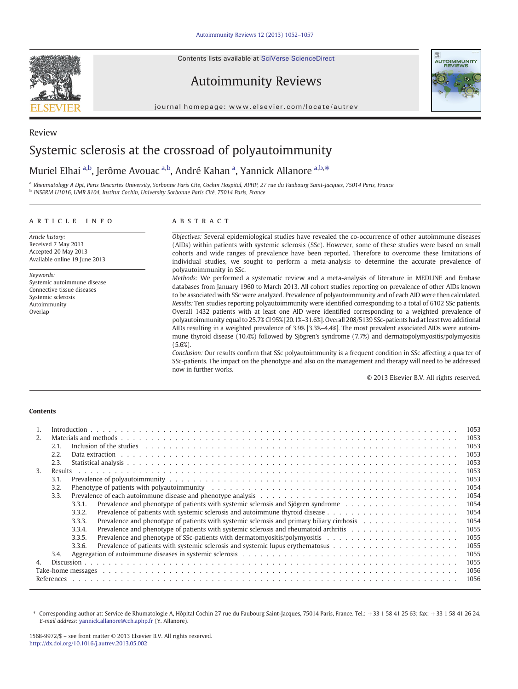Contents lists available at SciVerse ScienceDirect



Review

Autoimmunity Reviews



journal homepage: www.elsevier.com/locate/autrev

# Systemic sclerosis at the crossroad of polyautoimmunity

## Muriel Elhai <sup>a,b</sup>, Jerôme Avouac <sup>a,b</sup>, André Kahan <sup>a</sup>, Yannick Allanore <sup>a,b,\*</sup>

a Rheumatology A Dpt, Paris Descartes University, Sorbonne Paris Cite, Cochin Hospital, APHP, 27 rue du Faubourg Saint-Jacques, 75014 Paris, France <sup>b</sup> INSERM U1016, UMR 8104, Institut Cochin, University Sorbonne Paris Cité, 75014 Paris, France

#### article info abstract

Article history: Received 7 May 2013 Accepted 20 May 2013 Available online 19 June 2013

Keywords: Systemic autoimmune disease Connective tissue diseases Systemic sclerosis Autoimmunity Overlap

Objectives: Several epidemiological studies have revealed the co-occurrence of other autoimmune diseases (AIDs) within patients with systemic sclerosis (SSc). However, some of these studies were based on small cohorts and wide ranges of prevalence have been reported. Therefore to overcome these limitations of individual studies, we sought to perform a meta-analysis to determine the accurate prevalence of polyautoimmunity in SSc.

Methods: We performed a systematic review and a meta-analysis of literature in MEDLINE and Embase databases from January 1960 to March 2013. All cohort studies reporting on prevalence of other AIDs known to be associated with SSc were analyzed. Prevalence of polyautoimmunity and of each AID were then calculated. Results: Ten studies reporting polyautoimmunity were identified corresponding to a total of 6102 SSc patients. Overall 1432 patients with at least one AID were identified corresponding to a weighted prevalence of polyautoimmunity equal to 25.7% CI 95% [20.1%–31.6%]. Overall 208/5139 SSc-patients had at least two additional AIDs resulting in a weighted prevalence of 3.9% [3.3%–4.4%]. The most prevalent associated AIDs were autoimmune thyroid disease (10.4%) followed by Sjögren's syndrome (7.7%) and dermatopolymyositis/polymyositis (5.6%).

Conclusion: Our results confirm that SSc polyautoimmunity is a frequent condition in SSc affecting a quarter of SSc-patients. The impact on the phenotype and also on the management and therapy will need to be addressed now in further works.

© 2013 Elsevier B.V. All rights reserved.

#### **Contents**

| 2.                                                                                                                                                                                                                                     |                                                                                                                                                                                                                                        |                                                                                                              |                                                                                                                                           | 1053 |  |  |  |  |  |  |  |  |
|----------------------------------------------------------------------------------------------------------------------------------------------------------------------------------------------------------------------------------------|----------------------------------------------------------------------------------------------------------------------------------------------------------------------------------------------------------------------------------------|--------------------------------------------------------------------------------------------------------------|-------------------------------------------------------------------------------------------------------------------------------------------|------|--|--|--|--|--|--|--|--|
|                                                                                                                                                                                                                                        | 2.1.                                                                                                                                                                                                                                   |                                                                                                              | Inclusion of the studies experience of the studies of the studies of the studies of the studies of the studies of the studies of $\alpha$ | 1053 |  |  |  |  |  |  |  |  |
|                                                                                                                                                                                                                                        | 2.2.                                                                                                                                                                                                                                   |                                                                                                              |                                                                                                                                           |      |  |  |  |  |  |  |  |  |
|                                                                                                                                                                                                                                        | 2.3.                                                                                                                                                                                                                                   |                                                                                                              |                                                                                                                                           | 1053 |  |  |  |  |  |  |  |  |
| 3.                                                                                                                                                                                                                                     | Results                                                                                                                                                                                                                                |                                                                                                              |                                                                                                                                           | 1053 |  |  |  |  |  |  |  |  |
|                                                                                                                                                                                                                                        | 3.1.                                                                                                                                                                                                                                   |                                                                                                              |                                                                                                                                           |      |  |  |  |  |  |  |  |  |
|                                                                                                                                                                                                                                        | 3.2.<br>Phenotype of patients with polyautoimmunity enterpretation of the content of the content of patients with polyautoimmunity enterpretation of the content of the content of the content of the content of the content of the co |                                                                                                              |                                                                                                                                           |      |  |  |  |  |  |  |  |  |
|                                                                                                                                                                                                                                        | 3.3.                                                                                                                                                                                                                                   |                                                                                                              |                                                                                                                                           |      |  |  |  |  |  |  |  |  |
|                                                                                                                                                                                                                                        |                                                                                                                                                                                                                                        | 3.3.1.                                                                                                       |                                                                                                                                           | 1054 |  |  |  |  |  |  |  |  |
|                                                                                                                                                                                                                                        |                                                                                                                                                                                                                                        | 3.3.2.                                                                                                       |                                                                                                                                           | 1054 |  |  |  |  |  |  |  |  |
|                                                                                                                                                                                                                                        |                                                                                                                                                                                                                                        | Prevalence and phenotype of patients with systemic sclerosis and primary biliary cirrhosis<br>1054<br>3.3.3. |                                                                                                                                           |      |  |  |  |  |  |  |  |  |
|                                                                                                                                                                                                                                        |                                                                                                                                                                                                                                        | 3.3.4.                                                                                                       |                                                                                                                                           | 1055 |  |  |  |  |  |  |  |  |
|                                                                                                                                                                                                                                        |                                                                                                                                                                                                                                        | 3.3.5.                                                                                                       |                                                                                                                                           | 1055 |  |  |  |  |  |  |  |  |
|                                                                                                                                                                                                                                        |                                                                                                                                                                                                                                        | 3.3.6.                                                                                                       |                                                                                                                                           | 1055 |  |  |  |  |  |  |  |  |
|                                                                                                                                                                                                                                        | 3.4.                                                                                                                                                                                                                                   |                                                                                                              |                                                                                                                                           | 1055 |  |  |  |  |  |  |  |  |
| $\overline{4}$ .                                                                                                                                                                                                                       |                                                                                                                                                                                                                                        |                                                                                                              |                                                                                                                                           |      |  |  |  |  |  |  |  |  |
| 1056<br>Take-home messages but the contract of the contract of the contract of the contract of the contract of the contract of the contract of the contract of the contract of the contract of the contract of the contract of the con |                                                                                                                                                                                                                                        |                                                                                                              |                                                                                                                                           |      |  |  |  |  |  |  |  |  |
| 1056                                                                                                                                                                                                                                   |                                                                                                                                                                                                                                        |                                                                                                              |                                                                                                                                           |      |  |  |  |  |  |  |  |  |

⁎ Corresponding author at: Service de Rhumatologie A, Hôpital Cochin 27 rue du Faubourg Saint-Jacques, 75014 Paris, France. Tel.: +33 1 58 41 25 63; fax: +33 1 58 41 26 24. E-mail address: [yannick.allanore@cch.aphp.fr](mailto:yannick.allanore@cch.aphp.fr) (Y. Allanore).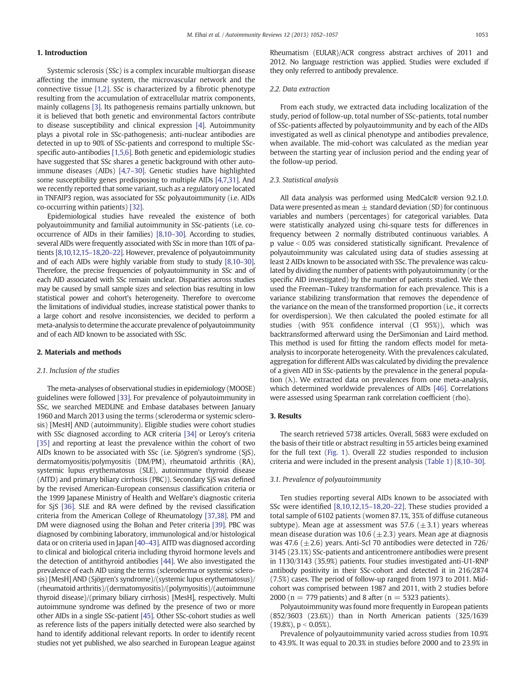### 1. Introduction

Systemic sclerosis (SSc) is a complex incurable multiorgan disease affecting the immune system, the microvascular network and the connective tissue [\[1,2\].](#page-4-0) SSc is characterized by a fibrotic phenotype resulting from the accumulation of extracellular matrix components, mainly collagens [\[3\].](#page-4-0) Its pathogenesis remains partially unknown, but it is believed that both genetic and environmental factors contribute to disease susceptibility and clinical expression [\[4\]](#page-4-0). Autoimmunity plays a pivotal role in SSc-pathogenesis; anti-nuclear antibodies are detected in up to 90% of SSc-patients and correspond to multiple SScspecific auto-antibodies [\[1,5,6\].](#page-4-0) Both genetic and epidemiologic studies have suggested that SSc shares a genetic background with other autoimmune diseases (AIDs) [\[4,7](#page-4-0)–30]. Genetic studies have highlighted some susceptibility genes predisposing to multiple AIDs [\[4,7,31\]](#page-4-0). And we recently reported that some variant, such as a regulatory one located in TNFAIP3 region, was associated for SSc polyautoimmunity (i.e. AIDs co-occurring within patients) [\[32\].](#page-5-0)

Epidemiological studies have revealed the existence of both polyautoimmunity and familial autoimmunity in SSc-patients (i.e. cooccurrence of AIDs in their families) [\[8,10](#page-4-0)–30]. According to studies, several AIDs were frequently associated with SSc in more than 10% of patients [\[8,10,12,15](#page-4-0)–18,20–22]. However, prevalence of polyautoimmunity and of each AIDs were highly variable from study to study [\[8,10](#page-4-0)–30]. Therefore, the precise frequencies of polyautoimmunity in SSc and of each AID associated with SSc remain unclear. Disparities across studies may be caused by small sample sizes and selection bias resulting in low statistical power and cohort's heterogeneity. Therefore to overcome the limitations of individual studies, increase statistical power thanks to a large cohort and resolve inconsistencies, we decided to perform a meta-analysis to determine the accurate prevalence of polyautoimmunity and of each AID known to be associated with SSc.

#### 2. Materials and methods

#### 2.1. Inclusion of the studies

The meta-analyses of observational studies in epidemiology (MOOSE) guidelines were followed [\[33\]](#page-5-0). For prevalence of polyautoimmunity in SSc, we searched MEDLINE and Embase databases between January 1960 and March 2013 using the terms (scleroderma or systemic sclerosis) [MesH] AND (autoimmunity). Eligible studies were cohort studies with SSc diagnosed according to ACR criteria [\[34\]](#page-5-0) or Leroy's criteria [\[35\]](#page-5-0) and reporting at least the prevalence within the cohort of two AIDs known to be associated with SSc (i.e. Sjögren's syndrome (SjS), dermatomyositis/polymyositis (DM/PM), rheumatoid arthritis (RA), systemic lupus erythematosus (SLE), autoimmune thyroid disease (AITD) and primary biliary cirrhosis (PBC)). Secondary SjS was defined by the revised American-European consensus classification criteria or the 1999 Japanese Ministry of Health and Welfare's diagnostic criteria for SjS [\[36\]](#page-5-0). SLE and RA were defined by the revised classification criteria from the American College of Rheumatology [\[37,38\].](#page-5-0) PM and DM were diagnosed using the Bohan and Peter criteria [\[39\].](#page-5-0) PBC was diagnosed by combining laboratory, immunological and/or histological data or on criteria used in Japan [40–[43\].](#page-5-0) AITD was diagnosed according to clinical and biological criteria including thyroid hormone levels and the detection of antithyroid antibodies [\[44\]](#page-5-0). We also investigated the prevalence of each AID using the terms (scleroderma or systemic sclerosis) [MesH] AND (Sjögren's syndrome)/(systemic lupus erythematosus)/ (rheumatoid arthritis)/(dermatomyositis)/(polymyositis)/(autoimmune thyroid disease)/(primary biliary cirrhosis) [MesH], respectively. Multi autoimmune syndrome was defined by the presence of two or more other AIDs in a single SSc-patient [\[45\]](#page-5-0). Other SSc-cohort studies as well as reference lists of the papers initially detected were also searched by hand to identify additional relevant reports. In order to identify recent studies not yet published, we also searched in European League against Rheumatism (EULAR)/ACR congress abstract archives of 2011 and 2012. No language restriction was applied. Studies were excluded if they only referred to antibody prevalence.

#### 2.2. Data extraction

From each study, we extracted data including localization of the study, period of follow-up, total number of SSc-patients, total number of SSc-patients affected by polyautoimmunity and by each of the AIDs investigated as well as clinical phenotype and antibodies prevalence, when available. The mid-cohort was calculated as the median year between the starting year of inclusion period and the ending year of the follow-up period.

#### 2.3. Statistical analysis

All data analysis was performed using MedCalc® version 9.2.1.0. Data were presented as mean  $+$  standard deviation (SD) for continuous variables and numbers (percentages) for categorical variables. Data were statistically analyzed using chi-square tests for differences in frequency between 2 normally distributed continuous variables. A p value  $< 0.05$  was considered statistically significant. Prevalence of polyautoimmunity was calculated using data of studies assessing at least 2 AIDs known to be associated with SSc. The prevalence was calculated by dividing the number of patients with polyautoimmunity (or the specific AID investigated) by the number of patients studied. We then used the Freeman–Tukey transformation for each prevalence. This is a variance stabilizing transformation that removes the dependence of the variance on the mean of the transformed proportion (i.e., it corrects for overdispersion). We then calculated the pooled estimate for all studies (with 95% confidence interval (CI 95%)), which was backtransformed afterward using the DerSimonian and Laird method. This method is used for fitting the random effects model for metaanalysis to incorporate heterogeneity. With the prevalences calculated, aggregation for different AIDs was calculated by dividing the prevalence of a given AID in SSc-patients by the prevalence in the general population (λ). We extracted data on prevalences from one meta-analysis, which determined worldwide prevalences of AIDs [\[46\]](#page-5-0). Correlations were assessed using Spearman rank correlation coefficient (rho).

#### 3. Results

The search retrieved 5738 articles. Overall, 5683 were excluded on the basis of their title or abstract resulting in 55 articles being examined for the full text [\(Fig. 1\)](#page-2-0). Overall 22 studies responded to inclusion criteria and were included in the present analysis ([Table 1](#page-2-0)) [\[8,10](#page-4-0)–30].

#### 3.1. Prevalence of polyautoimmunity

Ten studies reporting several AIDs known to be associated with SSc were identified [\[8,10,12,15](#page-4-0)–18,20–22]. These studies provided a total sample of 6102 patients (women 87.1%, 35% of diffuse cutaneous subtype). Mean age at assessment was 57.6 ( $\pm$ 3.1) years whereas mean disease duration was 10.6 ( $\pm$ 2.3) years. Mean age at diagnosis was 47.6 ( $\pm$ 2.6) years. Anti-Scl 70 antibodies were detected in 726/ 3145 (23.1%) SSc-patients and anticentromere antibodies were present in 1130/3143 (35.9%) patients. Four studies investigated anti-U1-RNP antibody positivity in their SSc-cohort and detected it in 216/2874 (7.5%) cases. The period of follow-up ranged from 1973 to 2011. Midcohort was comprised between 1987 and 2011, with 2 studies before 2000 ( $n = 779$  patients) and 8 after ( $n = 5323$  patients).

Polyautoimmunity was found more frequently in European patients (852/3603 (23.6%)) than in North American patients (325/1639  $(19.8\%)$ ,  $p < 0.05\%$ ).

Prevalence of polyautoimmunity varied across studies from 10.9% to 43.9%. It was equal to 20.3% in studies before 2000 and to 23.9% in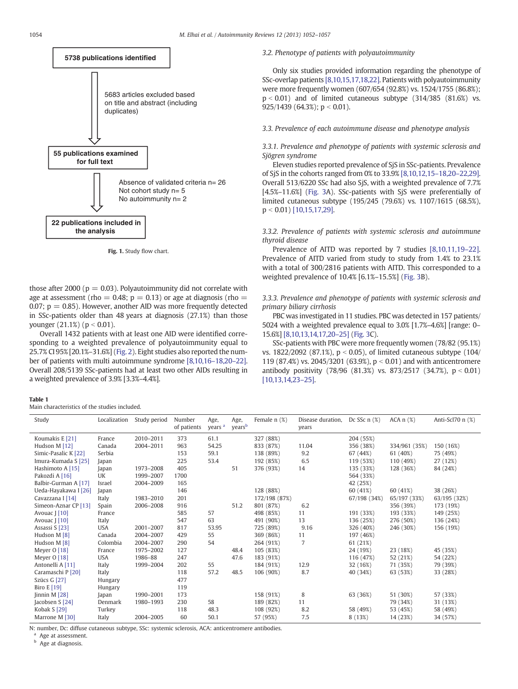<span id="page-2-0"></span>

Fig. 1. Study flow chart.

those after 2000 ( $p = 0.03$ ). Polyautoimmunity did not correlate with age at assessment (rho = 0.48;  $p = 0.13$ ) or age at diagnosis (rho = 0.07;  $p = 0.85$ ). However, another AID was more frequently detected in SSc-patients older than 48 years at diagnosis (27.1%) than those younger  $(21.1%)$  ( $p < 0.01$ ).

Overall 1432 patients with at least one AID were identified corresponding to a weighted prevalence of polyautoimmunity equal to 25.7% CI 95% [20.1%–31.6%] ([Fig. 2\)](#page-3-0). Eight studies also reported the number of patients with multi autoimmune syndrome [\[8,10,16](#page-4-0)–18,20–22]. Overall 208/5139 SSc-patients had at least two other AIDs resulting in a weighted prevalence of 3.9% [3.3%–4.4%].

#### 3.2. Phenotype of patients with polyautoimmunity

Only six studies provided information regarding the phenotype of SSc-overlap patients [\[8,10,15,17,18,22\]](#page-4-0). Patients with polyautoimmunity were more frequently women (607/654 (92.8%) vs. 1524/1755 (86.8%);  $p < 0.01$ ) and of limited cutaneous subtype (314/385 (81.6%) vs. 925/1439 (64.3%);  $p < 0.01$ ).

3.3. Prevalence of each autoimmune disease and phenotype analysis

3.3.1. Prevalence and phenotype of patients with systemic sclerosis and Sjögren syndrome

Eleven studies reported prevalence of SjS in SSc-patients. Prevalence of SjS in the cohorts ranged from 0% to 33.9% [\[8,10,12,15](#page-4-0)–18,20–22,29]. Overall 513/6220 SSc had also SjS, with a weighted prevalence of 7.7% [4.5%–11.6%] ([Fig. 3](#page-3-0)A). SSc-patients with SiS were preferentially of limited cutaneous subtype (195/245 (79.6%) vs. 1107/1615 (68.5%),  $p < 0.01$ ) [\[10,15,17,29\]](#page-4-0).

3.3.2. Prevalence of patients with systemic sclerosis and autoimmune thyroid disease

Prevalence of AITD was reported by 7 studies [\[8,10,11,19](#page-4-0)–22]. Prevalence of AITD varied from study to study from 1.4% to 23.1% with a total of 300/2816 patients with AITD. This corresponded to a weighted prevalence of 10.4% [6.1%–15.5%] ([Fig. 3](#page-3-0)B).

3.3.3. Prevalence and phenotype of patients with systemic sclerosis and primary biliary cirrhosis

PBC was investigated in 11 studies. PBC was detected in 157 patients/ 5024 with a weighted prevalence equal to 3.0% [1.7%–4.6%] [range: 0– 15.6%] [\[8,10,13,14,17,20](#page-4-0)–25] [\(Fig. 3](#page-3-0)C).

SSc-patients with PBC were more frequently women (78/82 (95.1%) vs. 1822/2092 (87.1%),  $p < 0.05$ ), of limited cutaneous subtype (104/ 119 (87.4%) vs. 2045/3201 (63.9%),  $p < 0.01$ ) and with anticentromere antibody positivity  $(78/96 (81.3%)$  vs. 873/2517  $(34.7%), p < 0.01)$ [\[10,13,14,23](#page-4-0)–25].

#### Table 1

Main characteristics of the studies included.

| Study                | Localization | Study period | Number<br>of patients | Age,<br>years <sup>a</sup> | Age,<br>years <sup>b</sup> | Female $n$ $(\%)$ | Disease duration.<br>years | Dc SSc $n$ $(\%)$ | $ACA \n  n$ $(\%)$ | Anti-Scl70 n (%) |
|----------------------|--------------|--------------|-----------------------|----------------------------|----------------------------|-------------------|----------------------------|-------------------|--------------------|------------------|
| Koumakis E [21]      | France       | 2010-2011    | 373                   | 61.1                       |                            | 327 (88%)         |                            | 204 (55%)         |                    |                  |
| Hudson M [12]        | Canada       | 2004-2011    | 963                   | 54.25                      |                            | 833 (87%)         | 11.04                      | 356 (38%)         | 334/961 (35%)      | 150 (16%)        |
| Simic-Pasalic K [22] | Serbia       |              | 153                   | 59.1                       |                            | 138 (89%)         | 9.2                        | 67 (44%)          | 61 (40%)           | 75 (49%)         |
| Imura-Kumada S [25]  | Japan        |              | 225                   | 53.4                       |                            | 192 (85%)         | 6.5                        | 119 (53%)         | 110 (49%)          | 27 (12%)         |
| Hashimoto A [15]     | Japan        | 1973-2008    | 405                   |                            | 51                         | 376 (93%)         | 14                         | 135 (33%)         | 128 (36%)          | 84 (24%)         |
| Pakozdi A [16]       | UK           | 1999-2007    | 1700                  |                            |                            |                   |                            | 564 (33%)         |                    |                  |
| Balbir-Gurman A [17] | Israel       | 2004-2009    | 165                   |                            |                            |                   |                            | 42 (25%)          |                    |                  |
| Ueda-Hayakawa I [26] | Japan        |              | 146                   |                            |                            | 128 (88%)         |                            | 60 (41%)          | 60 (41%)           | 38 (26%)         |
| Cavazzana I [14]     | Italy        | 1983-2010    | 201                   |                            |                            | 172/198 (87%)     |                            | 67/198 (34%)      | 65/197 (33%)       | 63/195 (32%)     |
| Simeon-Aznar CP [13] | Spain        | 2006-2008    | 916                   |                            | 51.2                       | 801 (87%)         | 6.2                        |                   | 356 (39%)          | 173 (19%)        |
| Avouac $[10]$        | France       |              | 585                   | 57                         |                            | 498 (85%)         | 11                         | 191 (33%)         | 193 (33%)          | 149 (25%)        |
| Avouac [[10]         | Italy        |              | 547                   | 63                         |                            | 491 (90%)         | 13                         | 136 (25%)         | 276 (50%)          | 136 (24%)        |
| Assassi S [23]       | <b>USA</b>   | 2001-2007    | 817                   | 53.95                      |                            | 725 (89%)         | 9.16                       | 326 (40%)         | 246 (30%)          | 156 (19%)        |
| Hudson M [8]         | Canada       | 2004-2007    | 429                   | 55                         |                            | 369 (86%)         | 11                         | 197 (46%)         |                    |                  |
| Hudson M [8]         | Colombia     | 2004-2007    | 290                   | 54                         |                            | 264 (91%)         | 7                          | 61 (21%)          |                    |                  |
| Meyer $O$ [18]       | France       | 1975-2002    | 127                   |                            | 48.4                       | 105 (83%)         |                            | 24 (19%)          | 23 (18%)           | 45 (35%)         |
| Meyer $O$ [18]       | <b>USA</b>   | 1986-88      | 247                   |                            | 47.6                       | 183 (91%)         |                            | 116 (47%)         | 52 (21%)           | 54 (22%)         |
| Antonelli A [11]     | Italy        | 1999-2004    | 202                   | 55                         |                            | 184 (91%)         | 12.9                       | 32 (16%)          | 71 (35%)           | 79 (39%)         |
| Caramaschi P [20]    | Italy        |              | 118                   | 57.2                       | 48.5                       | 106 (90%)         | 8.7                        | 40 (34%)          | 63 (53%)           | 33 (28%)         |
| Szücs G [27]         | Hungary      |              | 477                   |                            |                            |                   |                            |                   |                    |                  |
| Biro E $[19]$        | Hungary      |              | 119                   |                            |                            |                   |                            |                   |                    |                  |
| $\lim$ M $[28]$      | Japan        | 1990-2001    | 173                   |                            |                            | 158 (91%)         | 8                          | 63 (36%)          | 51 (30%)           | 57 (33%)         |
| Jacobsen S [24]      | Denmark      | 1980-1993    | 230                   | 58                         |                            | 189 (82%)         | 11                         |                   | 79 (34%)           | 31 (13%)         |
| Kobak $S$ [29]       | Turkey       |              | 118                   | 48.3                       |                            | 108 (92%)         | 8.2                        | 58 (49%)          | 53 (45%)           | 58 (49%)         |
| Marrone M [30]       | Italy        | 2004-2005    | 60                    | 50.1                       |                            | 57 (95%)          | 7.5                        | 8(13%)            | 14 (23%)           | 34 (57%)         |

N: number, Dc: diffuse cutaneous subtype, SSc: systemic sclerosis, ACA: anticentromere antibodies.

<sup>a</sup> Age at assessment.

**b** Age at diagnosis.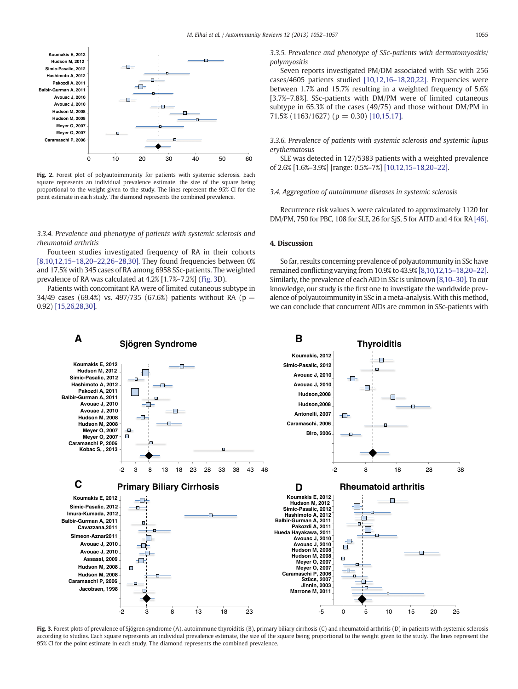<span id="page-3-0"></span>

Fig. 2. Forest plot of polyautoimmunity for patients with systemic sclerosis. Each square represents an individual prevalence estimate, the size of the square being proportional to the weight given to the study. The lines represent the 95% CI for the point estimate in each study. The diamond represents the combined prevalence.

3.3.4. Prevalence and phenotype of patients with systemic sclerosis and rheumatoid arthritis

Fourteen studies investigated frequency of RA in their cohorts [\[8,10,12,15](#page-4-0)–18,20–22,26–28,30]. They found frequencies between 0% and 17.5% with 345 cases of RA among 6958 SSc-patients. The weighted prevalence of RA was calculated at 4.2% [1.7%–7.2%] (Fig. 3D).

Patients with concomitant RA were of limited cutaneous subtype in 34/49 cases (69.4%) vs. 497/735 (67.6%) patients without RA ( $p =$ 0.92) [\[15,26,28,30\].](#page-5-0)

3.3.5. Prevalence and phenotype of SSc-patients with dermatomyositis/ polymyositis

Seven reports investigated PM/DM associated with SSc with 256 cases/4605 patients studied [\[10,12,16](#page-4-0)–18,20,22]. Frequencies were between 1.7% and 15.7% resulting in a weighted frequency of 5.6% [3.7%–7.8%]. SSc-patients with DM/PM were of limited cutaneous subtype in 65.3% of the cases (49/75) and those without DM/PM in 71.5% (1163/1627) (p = 0.30) [\[10,15,17\]](#page-4-0).

3.3.6. Prevalence of patients with systemic sclerosis and systemic lupus erythematosus

SLE was detected in 127/5383 patients with a weighted prevalence of 2.6% [1.6%–3.9%] [range: 0.5%–7%] [\[10,12,15](#page-4-0)–18,20–22].

#### 3.4. Aggregation of autoimmune diseases in systemic sclerosis

Recurrence risk values λ were calculated to approximately 1120 for DM/PM, 750 for PBC, 108 for SLE, 26 for SjS, 5 for AITD and 4 for RA [\[46\].](#page-5-0)

#### 4. Discussion

So far, results concerning prevalence of polyautommunity in SSc have remained conflicting varying from 10.9% to 43.9% [\[8,10,12,15](#page-4-0)–18,20–22]. Similarly, the prevalence of each AID in SSc is unknown [\[8,10](#page-4-0)–30]. To our knowledge, our study is the first one to investigate the worldwide prevalence of polyautoimmunity in SSc in a meta-analysis. With this method, we can conclude that concurrent AIDs are common in SSc-patients with



Fig. 3. Forest plots of prevalence of Sjögren syndrome (A), autoimmune thyroiditis (B), primary biliary cirrhosis (C) and rheumatoid arthritis (D) in patients with systemic sclerosis according to studies. Each square represents an individual prevalence estimate, the size of the square being proportional to the weight given to the study. The lines represent the 95% CI for the point estimate in each study. The diamond represents the combined prevalence.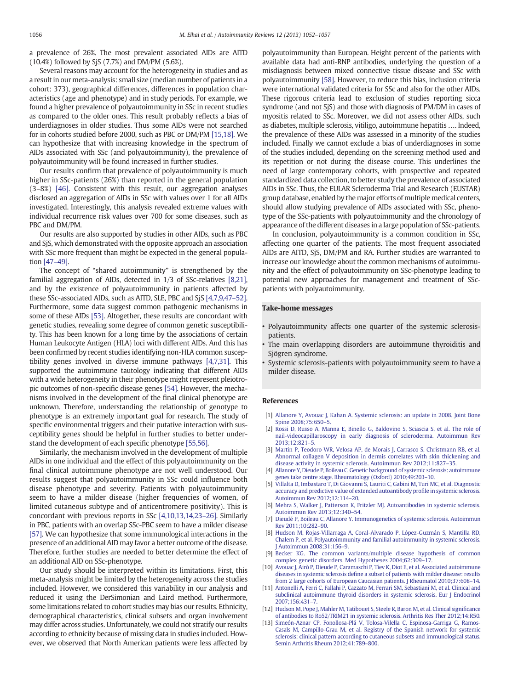<span id="page-4-0"></span>a prevalence of 26%. The most prevalent associated AIDs are AITD (10.4%) followed by SjS (7.7%) and DM/PM (5.6%).

Several reasons may account for the heterogeneity in studies and as a result in our meta-analysis: small size (median number of patients in a cohort: 373), geographical differences, differences in population characteristics (age and phenotype) and in study periods. For example, we found a higher prevalence of polyautoimmunity in SSc in recent studies as compared to the older ones. This result probably reflects a bias of underdiagnoses in older studies. Thus some AIDs were not searched for in cohorts studied before 2000, such as PBC or DM/PM [\[15,18\]](#page-5-0). We can hypothesize that with increasing knowledge in the spectrum of AIDs associated with SSc (and polyautoimmunity), the prevalence of polyautoimmunity will be found increased in further studies.

Our results confirm that prevalence of polyautoimmunity is much higher in SSc-patients (26%) than reported in the general population (3–8%) [\[46\].](#page-5-0) Consistent with this result, our aggregation analyses disclosed an aggregation of AIDs in SSc with values over 1 for all AIDs investigated. Interestingly, this analysis revealed extreme values with individual recurrence risk values over 700 for some diseases, such as PBC and DM/PM.

Our results are also supported by studies in other AIDs, such as PBC and SjS, which demonstrated with the opposite approach an association with SSc more frequent than might be expected in the general population [47–[49\].](#page-5-0)

The concept of "shared autoimmunity" is strengthened by the familial aggregation of AIDs, detected in 1/3 of SSc-relatives [8,21], and by the existence of polyautoimmunity in patients affected by these SSc-associated AIDs, such as AITD, SLE, PBC and SjS [4,7,9,47–52]. Furthermore, some data suggest common pathogenic mechanisms in some of these AIDs [\[53\]](#page-5-0). Altogether, these results are concordant with genetic studies, revealing some degree of common genetic susceptibility. This has been known for a long time by the associations of certain Human Leukocyte Antigen (HLA) loci with different AIDs. And this has been confirmed by recent studies identifying non-HLA common susceptibility genes involved in diverse immune pathways [4,7,31]. This supported the autoimmune tautology indicating that different AIDs with a wide heterogeneity in their phenotype might represent pleiotropic outcomes of non-specific disease genes [\[54\]](#page-5-0). However, the mechanisms involved in the development of the final clinical phenotype are unknown. Therefore, understanding the relationship of genotype to phenotype is an extremely important goal for research. The study of specific environmental triggers and their putative interaction with susceptibility genes should be helpful in further studies to better understand the development of each specific phenotype [\[55,56\].](#page-5-0)

Similarly, the mechanism involved in the development of multiple AIDs in one individual and the effect of this polyautoimmunity on the final clinical autoimmune phenotype are not well understood. Our results suggest that polyautoimmunity in SSc could influence both disease phenotype and severity. Patients with polyautoimmunity seem to have a milder disease (higher frequencies of women, of limited cutaneous subtype and of anticentromere positivity). This is concordant with previous reports in SSc [4,10,13,14,23–26]. Similarly in PBC, patients with an overlap SSc-PBC seem to have a milder disease [\[57\]](#page-5-0). We can hypothesize that some immunological interactions in the presence of an additional AID may favor a better outcome of the disease. Therefore, further studies are needed to better determine the effect of an additional AID on SSc-phenotype.

Our study should be interpreted within its limitations. First, this meta-analysis might be limited by the heterogeneity across the studies included. However, we considered this variability in our analysis and reduced it using the DerSimonian and Laird method. Furthermore, some limitations related to cohort studies may bias our results. Ethnicity, demographical characteristics, clinical subsets and organ involvement may differ across studies. Unfortunately, we could not stratify our results according to ethnicity because of missing data in studies included. However, we observed that North American patients were less affected by

polyautoimmunity than European. Height percent of the patients with available data had anti-RNP antibodies, underlying the question of a misdiagnosis between mixed connective tissue disease and SSc with polyautoimmunity [\[58\]](#page-5-0). However, to reduce this bias, inclusion criteria were international validated criteria for SSc and also for the other AIDs. These rigorous criteria lead to exclusion of studies reporting sicca syndrome (and not SjS) and those with diagnosis of PM/DM in cases of myositis related to SSc. Moreover, we did not assess other AIDs, such as diabetes, multiple sclerosis, vitiligo, autoimmune hepatitis …. Indeed, the prevalence of these AIDs was assessed in a minority of the studies included. Finally we cannot exclude a bias of underdiagnoses in some of the studies included, depending on the screening method used and its repetition or not during the disease course. This underlines the need of large contemporary cohorts, with prospective and repeated standardized data collection, to better study the prevalence of associated AIDs in SSc. Thus, the EULAR Scleroderma Trial and Research (EUSTAR) group database, enabled by the major efforts of multiple medical centers, should allow studying prevalence of AIDs associated with SSc, phenotype of the SSc-patients with polyautoimmunity and the chronology of appearance of the different diseases in a large population of SSc-patients.

In conclusion, polyautoimmunity is a common condition in SSc, affecting one quarter of the patients. The most frequent associated AIDs are AITD, SjS, DM/PM and RA. Further studies are warranted to increase our knowledge about the common mechanisms of autoimmunity and the effect of polyautoimmunity on SSc-phenotype leading to potential new approaches for management and treatment of SScpatients with polyautoimmunity.

#### Take-home messages

- Polyautoimmunity affects one quarter of the systemic sclerosispatients.
- The main overlapping disorders are autoimmune thyroiditis and Sjögren syndrome.
- Systemic sclerosis-patients with polyautoimmunity seem to have a milder disease.

#### References

- [1] [Allanore Y, Avouac J, Kahan A. Systemic sclerosis: an update in 2008. Joint Bone](http://refhub.elsevier.com/S1568-9972(13)00108-0/rf0255) [Spine 2008;75:650](http://refhub.elsevier.com/S1568-9972(13)00108-0/rf0255)–5.
- [Rossi D, Russo A, Manna E, Binello G, Baldovino S, Sciascia S, et al. The role of](http://refhub.elsevier.com/S1568-9972(13)00108-0/rf0260) [nail-videocapillaroscopy in early diagnosis of scleroderma. Autoimmun Rev](http://refhub.elsevier.com/S1568-9972(13)00108-0/rf0260) [2013;12:821](http://refhub.elsevier.com/S1568-9972(13)00108-0/rf0260)–5.
- [3] [Martin P, Teodoro WR, Velosa AP, de Morais J, Carrasco S, Christmann RB, et al.](http://refhub.elsevier.com/S1568-9972(13)00108-0/rf0010) [Abnormal collagen V deposition in dermis correlates with skin thickening and](http://refhub.elsevier.com/S1568-9972(13)00108-0/rf0010) [disease activity in systemic sclerosis. Autoimmun Rev 2012;11:827](http://refhub.elsevier.com/S1568-9972(13)00108-0/rf0010)–35.
- [4] [Allanore Y, Dieude P, Boileau C. Genetic background of systemic sclerosis: autoimmune](http://refhub.elsevier.com/S1568-9972(13)00108-0/rf0015) [genes take centre stage. Rheumatology \(Oxford\) 2010;49:203](http://refhub.elsevier.com/S1568-9972(13)00108-0/rf0015)–10.
- [5] [Villalta D, Imbastaro T, Di Giovanni S, Lauriti C, Gabini M, Turi MC, et al. Diagnostic](http://refhub.elsevier.com/S1568-9972(13)00108-0/rf0020) [accuracy and predictive value of extended autoantibody pro](http://refhub.elsevier.com/S1568-9972(13)00108-0/rf0020)file in systemic sclerosis. [Autoimmun Rev 2012;12:114](http://refhub.elsevier.com/S1568-9972(13)00108-0/rf0020)–20.
- [6] [Mehra S, Walker J, Patterson K, Fritzler MJ. Autoantibodies in systemic sclerosis.](http://refhub.elsevier.com/S1568-9972(13)00108-0/rf0025) [Autoimmun Rev 2013;12:340](http://refhub.elsevier.com/S1568-9972(13)00108-0/rf0025)–54.
- [7] [Dieudé P, Boileau C, Allanore Y. Immunogenetics of systemic sclerosis. Autoimmun](http://refhub.elsevier.com/S1568-9972(13)00108-0/rf0030) [Rev 2011;10:282](http://refhub.elsevier.com/S1568-9972(13)00108-0/rf0030)–90.
- [8] [Hudson M, Rojas-Villarraga A, Coral-Alvarado P, López-Guzmán S, Mantilla RD,](http://refhub.elsevier.com/S1568-9972(13)00108-0/rf0035) [Chalem P, et al. Polyautoimmunity and familial autoimmunity in systemic sclerosis.](http://refhub.elsevier.com/S1568-9972(13)00108-0/rf0035) [J Autoimmun 2008;31:156](http://refhub.elsevier.com/S1568-9972(13)00108-0/rf0035)–9.
- [9] [Becker KG. The common variants/multiple disease hypothesis of common](http://refhub.elsevier.com/S1568-9972(13)00108-0/rf0040) [complex genetic disorders. Med Hypotheses 2004;62:309](http://refhub.elsevier.com/S1568-9972(13)00108-0/rf0040)–17.
- [10] [Avouac J, Airò P, Dieude P, Caramaschi P, Tiev K, Diot E, et al. Associated autoimmune](http://refhub.elsevier.com/S1568-9972(13)00108-0/rf0045) diseases in systemic sclerosis defi[ne a subset of patients with milder disease: results](http://refhub.elsevier.com/S1568-9972(13)00108-0/rf0045) [from 2 large cohorts of European Caucasian patients. J Rheumatol 2010;37:608](http://refhub.elsevier.com/S1568-9972(13)00108-0/rf0045)–14.
- [11] [Antonelli A, Ferri C, Fallahi P, Cazzato M, Ferrari SM, Sebastiani M, et al. Clinical and](http://refhub.elsevier.com/S1568-9972(13)00108-0/rf0050) [subclinical autoimmune thyroid disorders in systemic sclerosis. Eur J Endocrinol](http://refhub.elsevier.com/S1568-9972(13)00108-0/rf0050) [2007;156:431](http://refhub.elsevier.com/S1568-9972(13)00108-0/rf0050)–7.
- [12] [Hudson M, Pope J, Mahler M, Tatibouet S, Steele R, Baron M, et al. Clinical signi](http://refhub.elsevier.com/S1568-9972(13)00108-0/rf0055)ficance [of antibodies to Ro52/TRIM21 in systemic sclerosis. Arthritis Res Ther 2012;14:R50.](http://refhub.elsevier.com/S1568-9972(13)00108-0/rf0055)
- [13] [Simeón-Aznar CP, Fonollosa-Plá V, Tolosa-Vilella C, Espinosa-Garriga G, Ramos-](http://refhub.elsevier.com/S1568-9972(13)00108-0/rf0060)[Casals M, Campillo-Grau M, et al. Registry of the Spanish network for systemic](http://refhub.elsevier.com/S1568-9972(13)00108-0/rf0060) [sclerosis: clinical pattern according to cutaneous subsets and immunological status.](http://refhub.elsevier.com/S1568-9972(13)00108-0/rf0060) [Semin Arthritis Rheum 2012;41:789](http://refhub.elsevier.com/S1568-9972(13)00108-0/rf0060)–800.